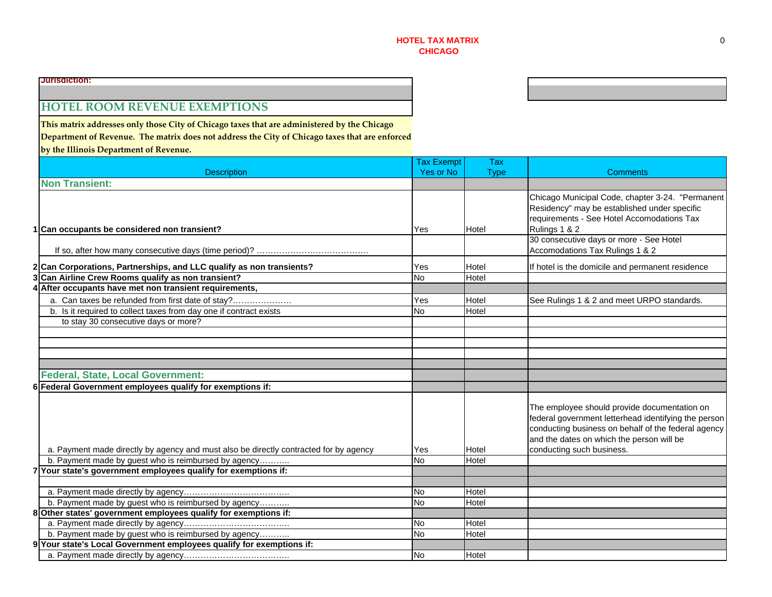# **HOTEL ROOM REVENUE EXEMPTIONS**

**This matrix addresses only those City of Chicago taxes that are administered by the Chicago Department of Revenue. The matrix does not address the City of Chicago taxes that are enforced by the Illinois Department of Revenue.**

|  |                                                                                       | <b>Tax Exempt</b> | <b>Tax</b>  |                                                                                                                                                                                                                                       |
|--|---------------------------------------------------------------------------------------|-------------------|-------------|---------------------------------------------------------------------------------------------------------------------------------------------------------------------------------------------------------------------------------------|
|  | <b>Description</b>                                                                    | Yes or No         | <b>Type</b> | Comments                                                                                                                                                                                                                              |
|  | <b>Non Transient:</b>                                                                 |                   |             |                                                                                                                                                                                                                                       |
|  | 1 Can occupants be considered non transient?                                          | Yes               | Hotel       | Chicago Municipal Code, chapter 3-24. "Permanent<br>Residency" may be established under specific<br>requirements - See Hotel Accomodations Tax<br>Rulings 1 & 2                                                                       |
|  |                                                                                       |                   |             | 30 consecutive days or more - See Hotel<br>Accomodations Tax Rulings 1 & 2                                                                                                                                                            |
|  | 2 Can Corporations, Partnerships, and LLC qualify as non transients?                  | Yes               | Hotel       | If hotel is the domicile and permanent residence                                                                                                                                                                                      |
|  | 3 Can Airline Crew Rooms qualify as non transient?                                    | <b>No</b>         | Hotel       |                                                                                                                                                                                                                                       |
|  | 4 After occupants have met non transient requirements,                                |                   |             |                                                                                                                                                                                                                                       |
|  | a. Can taxes be refunded from first date of stay?                                     | Yes               | Hotel       | See Rulings 1 & 2 and meet URPO standards.                                                                                                                                                                                            |
|  | b. Is it required to collect taxes from day one if contract exists                    | <b>No</b>         | Hotel       |                                                                                                                                                                                                                                       |
|  | to stay 30 consecutive days or more?                                                  |                   |             |                                                                                                                                                                                                                                       |
|  |                                                                                       |                   |             |                                                                                                                                                                                                                                       |
|  |                                                                                       |                   |             |                                                                                                                                                                                                                                       |
|  |                                                                                       |                   |             |                                                                                                                                                                                                                                       |
|  |                                                                                       |                   |             |                                                                                                                                                                                                                                       |
|  | <b>Federal, State, Local Government:</b>                                              |                   |             |                                                                                                                                                                                                                                       |
|  | 6 Federal Government employees qualify for exemptions if:                             |                   |             |                                                                                                                                                                                                                                       |
|  | a. Payment made directly by agency and must also be directly contracted for by agency | Yes               | Hotel       | The employee should provide documentation on<br>federal government letterhead identifying the person<br>conducting business on behalf of the federal agency<br>and the dates on which the person will be<br>conducting such business. |
|  | b. Payment made by guest who is reimbursed by agency                                  | <b>No</b>         | Hotel       |                                                                                                                                                                                                                                       |
|  | 7 Your state's government employees qualify for exemptions if:                        |                   |             |                                                                                                                                                                                                                                       |
|  |                                                                                       |                   |             |                                                                                                                                                                                                                                       |
|  |                                                                                       | <b>No</b>         | Hotel       |                                                                                                                                                                                                                                       |
|  | b. Payment made by guest who is reimbursed by agency                                  | <b>No</b>         | Hotel       |                                                                                                                                                                                                                                       |
|  | 8 Other states' government employees qualify for exemptions if:                       |                   | Hotel       |                                                                                                                                                                                                                                       |
|  | b. Payment made by guest who is reimbursed by agency                                  | No<br><b>No</b>   | Hotel       |                                                                                                                                                                                                                                       |
|  | 9 Your state's Local Government employees qualify for exemptions if:                  |                   |             |                                                                                                                                                                                                                                       |
|  |                                                                                       |                   | Hotel       |                                                                                                                                                                                                                                       |
|  |                                                                                       | <b>No</b>         |             |                                                                                                                                                                                                                                       |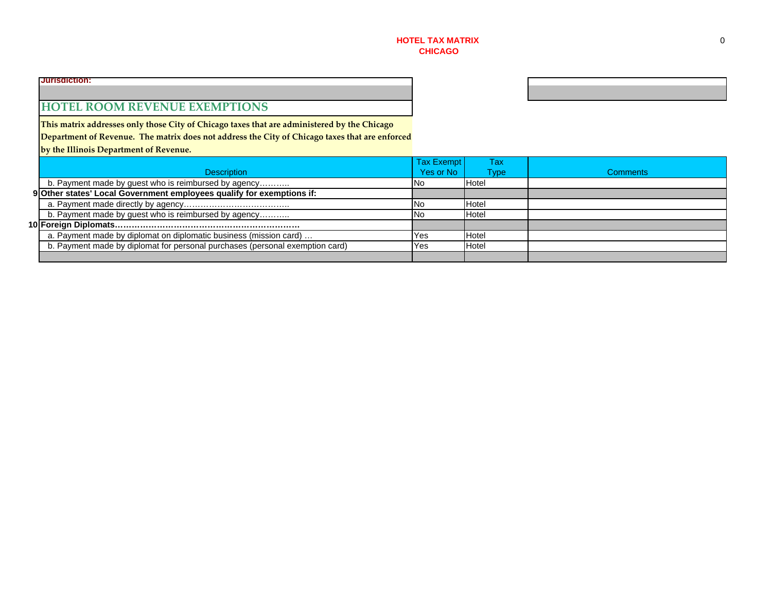### **HOTEL ROOM REVENUE EXEMPTIONS**

**This matrix addresses only those City of Chicago taxes that are administered by the Chicago Department of Revenue. The matrix does not address the City of Chicago taxes that are enforced by the Illinois Department of Revenue.**

|                                                                              | Tax Exempt | Tax         |                 |
|------------------------------------------------------------------------------|------------|-------------|-----------------|
| <b>Description</b>                                                           | Yes or No  | <b>Type</b> | <b>Comments</b> |
| b. Payment made by guest who is reimbursed by agency                         | No.        | Hotel       |                 |
| 9 Other states' Local Government employees qualify for exemptions if:        |            |             |                 |
|                                                                              | No         | Hotel       |                 |
| b. Payment made by guest who is reimbursed by agency                         | No         | Hotel       |                 |
|                                                                              |            |             |                 |
| a. Payment made by diplomat on diplomatic business (mission card)            | Yes        | Hotel       |                 |
| b. Payment made by diplomat for personal purchases (personal exemption card) | Yes        | Hotel       |                 |
|                                                                              |            |             |                 |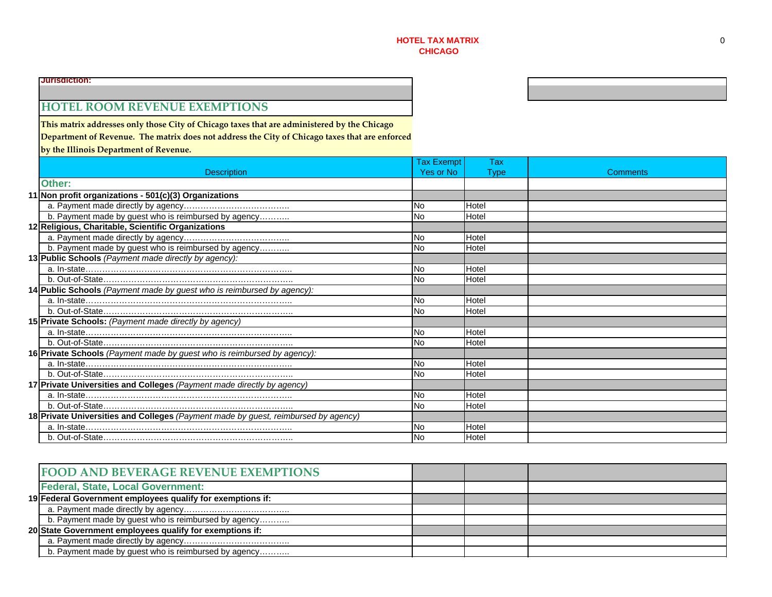# **HOTEL ROOM REVENUE EXEMPTIONS**

**This matrix addresses only those City of Chicago taxes that are administered by the Chicago**

**Department of Revenue. The matrix does not address the City of Chicago taxes that are enforced**

**by the Illinois Department of Revenue.**

|                                                                                    | Tax Exempt | Tax         |          |
|------------------------------------------------------------------------------------|------------|-------------|----------|
| <b>Description</b>                                                                 | Yes or No  | <b>Type</b> | Comments |
| Other:                                                                             |            |             |          |
| 11 Non profit organizations - 501(c)(3) Organizations                              |            |             |          |
|                                                                                    | <b>No</b>  | Hotel       |          |
| b. Payment made by guest who is reimbursed by agency                               | <b>No</b>  | Hotel       |          |
| 12 Religious, Charitable, Scientific Organizations                                 |            |             |          |
|                                                                                    | <b>No</b>  | Hotel       |          |
| b. Payment made by guest who is reimbursed by agency                               | <b>No</b>  | Hotel       |          |
| 13 Public Schools (Payment made directly by agency):                               |            |             |          |
|                                                                                    | No         | Hotel       |          |
|                                                                                    | <b>No</b>  | Hotel       |          |
| 14 Public Schools (Payment made by guest who is reimbursed by agency):             |            |             |          |
|                                                                                    | No         | Hotel       |          |
|                                                                                    | <b>No</b>  | Hotel       |          |
| 15 Private Schools: (Payment made directly by agency)                              |            |             |          |
|                                                                                    | <b>No</b>  | Hotel       |          |
|                                                                                    | <b>No</b>  | Hotel       |          |
| 16 Private Schools (Payment made by guest who is reimbursed by agency):            |            |             |          |
|                                                                                    | <b>No</b>  | Hotel       |          |
|                                                                                    | <b>No</b>  | Hotel       |          |
| 17 Private Universities and Colleges (Payment made directly by agency)             |            |             |          |
|                                                                                    | <b>No</b>  | Hotel       |          |
|                                                                                    | <b>No</b>  | Hotel       |          |
| 18 Private Universities and Colleges (Payment made by guest, reimbursed by agency) |            |             |          |
|                                                                                    | No         | Hotel       |          |
|                                                                                    | <b>No</b>  | Hotel       |          |

| <b>FOOD AND BEVERAGE REVENUE EXEMPTIONS</b>                |  |  |
|------------------------------------------------------------|--|--|
| <b>Federal, State, Local Government:</b>                   |  |  |
| 19 Federal Government employees qualify for exemptions if: |  |  |
|                                                            |  |  |
| b. Payment made by guest who is reimbursed by agency       |  |  |
| 20 State Government employees qualify for exemptions if:   |  |  |
|                                                            |  |  |
| b. Payment made by guest who is reimbursed by agency       |  |  |